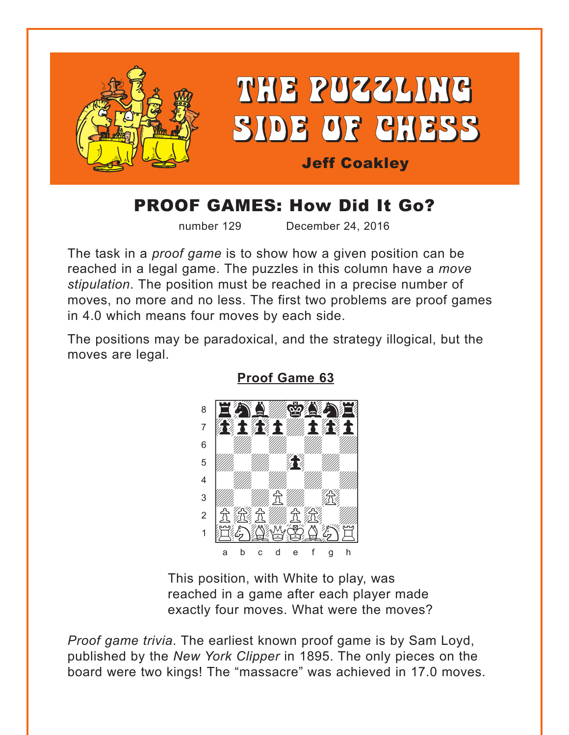<span id="page-0-0"></span>

# **PROOF GAMES: How Did It Go?**

number 129

December 24, 2016

The task in a *proof game* is to show how a given position can be reached in a legal game. The puzzles in this column have a move stipulation. The position must be reached in a precise number of moves, no more and no less. The first two problems are proof games in 4.0 which means four moves by each side.

The positions may be paradoxical, and the strategy illogical, but the moves are legal.



**Proof Game 63** 

This position, with White to play, was reached in a game after each player made exactly four moves. What were the moves?

Proof game trivia. The earliest known proof game is by Sam Loyd, published by the New York Clipper in 1895. The only pieces on the board were two kings! The "massacre" was achieved in 17.0 moves.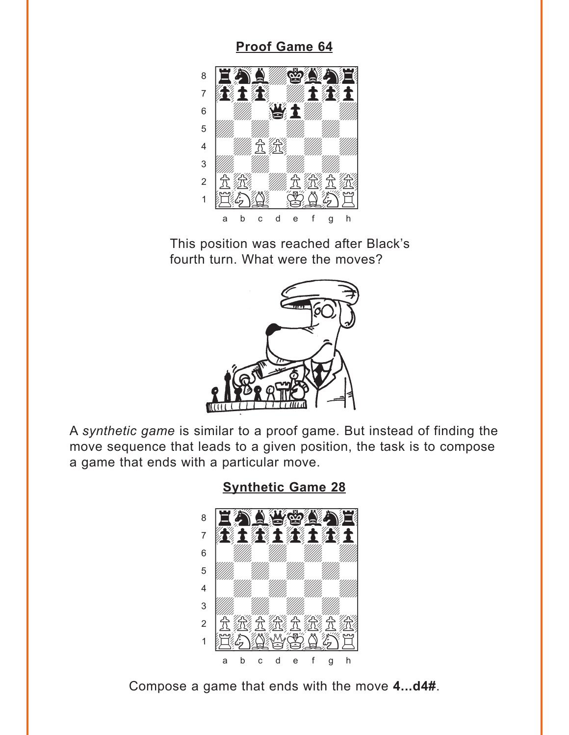## **Proof Game 64**

<span id="page-1-0"></span>

This position was reached after Black's fourth turn. What were the moves?



A synthetic game is similar to a proof game. But instead of finding the move sequence that leads to a given position, the task is to compose a game that ends with a particular move.

**Synthetic Game 28** 



Compose a game that ends with the move 4...d4#.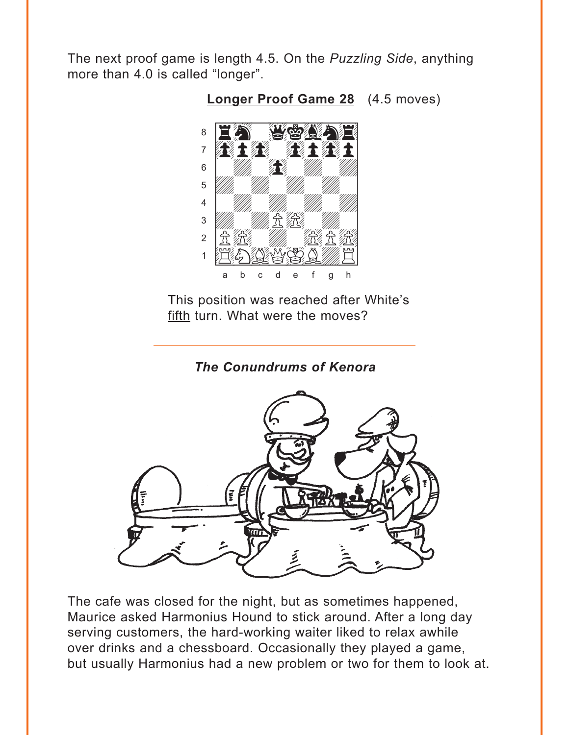<span id="page-2-0"></span>The next proof game is length 4.5. On the Puzzling Side, anything more than 4.0 is called "longer".



**Longer Proof Game 28** (4.5 moves)

This position was reached after White's fifth turn. What were the moves?

The Conundrums of Kenora



The cafe was closed for the night, but as sometimes happened, Maurice asked Harmonius Hound to stick around. After a long day serving customers, the hard-working waiter liked to relax awhile over drinks and a chessboard. Occasionally they played a game, but usually Harmonius had a new problem or two for them to look at.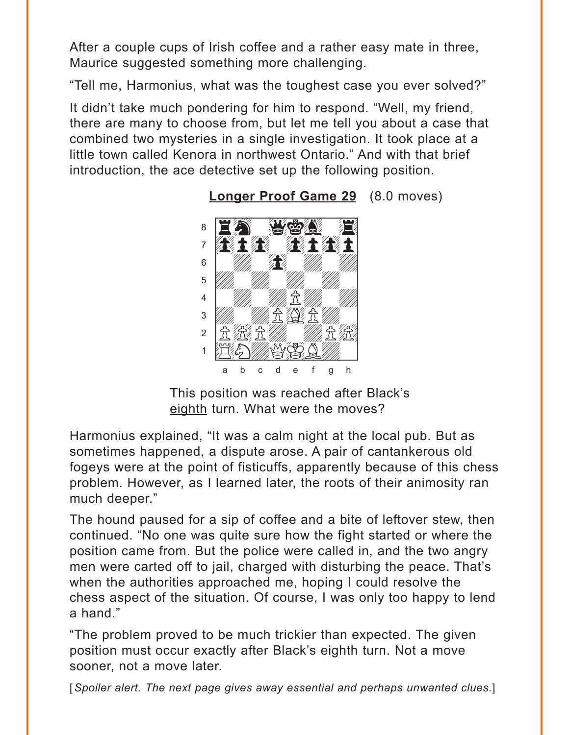<span id="page-3-0"></span>After a couple cups of Irish coffee and a rather easy mate in three, Maurice suggested something more challenging.

"Tell me, Harmonius, what was the toughest case you ever solved?"

It didn't take much pondering for him to respond. "Well, my friend, there are many to choose from, but let me tell you about a case that combined two mysteries in a single investigation. It took place at a little town called Kenora in northwest Ontario." And with that brief introduction, the ace detective set up the following position.



**[Longer Proof Game 29](#page-7-0)** (8.0 moves)

This position was reached after Black's eighth turn. What were the moves?

Harmonius explained, "It was a calm night at the local pub. But as sometimes happened, a dispute arose. A pair of cantankerous old fogeys were at the point of fisticuffs, apparently because of this chess problem. However, as I learned later, the roots of their animosity ran much deeper."

The hound paused for a sip of coffee and a bite of leftover stew, then continued. "No one was quite sure how the fight started or where the position came from. But the police were called in, and the two angry men were carted off to jail, charged with disturbing the peace. That's when the authorities approached me, hoping I could resolve the chess aspect of the situation. Of course, I was only too happy to lend a hand."

"The problem proved to be much trickier than expected. The given position must occur exactly after Black's eighth turn. Not a move sooner, not a move later.

[*Spoiler alert. The next page gives away essential and perhaps unwanted clues.*]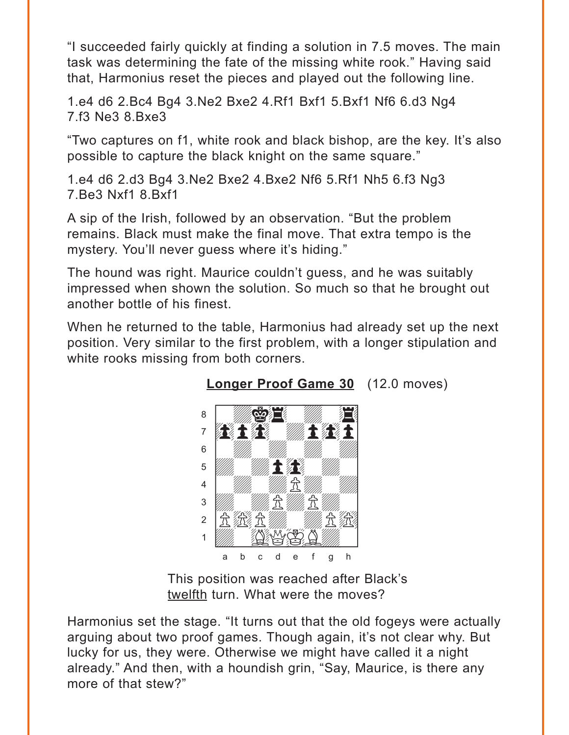<span id="page-4-0"></span>"I succeeded fairly quickly at finding a solution in 7.5 moves. The main task was determining the fate of the missing white rook." Having said that, Harmonius reset the pieces and played out the following line.

1.e4 d6 2.Bc4 Bg4 3.Ne2 Bxe2 4.Rf1 Bxf1 5.Bxf1 Nf6 6.d3 Ng4 7.f3 Ne3 8.Bxe3

"Two captures on f1, white rook and black bishop, are the key. It's also possible to capture the black knight on the same square."

1.e4 d6 2.d3 Bg4 3.Ne2 Bxe2 4.Bxe2 Nf6 5.Rf1 Nh5 6.f3 Ng3 7.Be3 Nxf1 8.Bxf1

A sip of the Irish, followed by an observation. "But the problem remains. Black must make the final move. That extra tempo is the mystery. You'll never guess where it's hiding."

The hound was right. Maurice couldn't guess, and he was suitably impressed when shown the solution. So much so that he brought out another bottle of his finest.

When he returned to the table, Harmonius had already set up the next position. Very similar to the first problem, with a longer stipulation and white rooks missing from both corners.



**[Longer Proof Game 30](#page-7-0)** (12.0 moves)

This position was reached after Black's twelfth turn. What were the moves?

Harmonius set the stage. "It turns out that the old fogeys were actually arguing about two proof games. Though again, it's not clear why. But lucky for us, they were. Otherwise we might have called it a night already." And then, with a houndish grin, "Say, Maurice, is there any more of that stew?"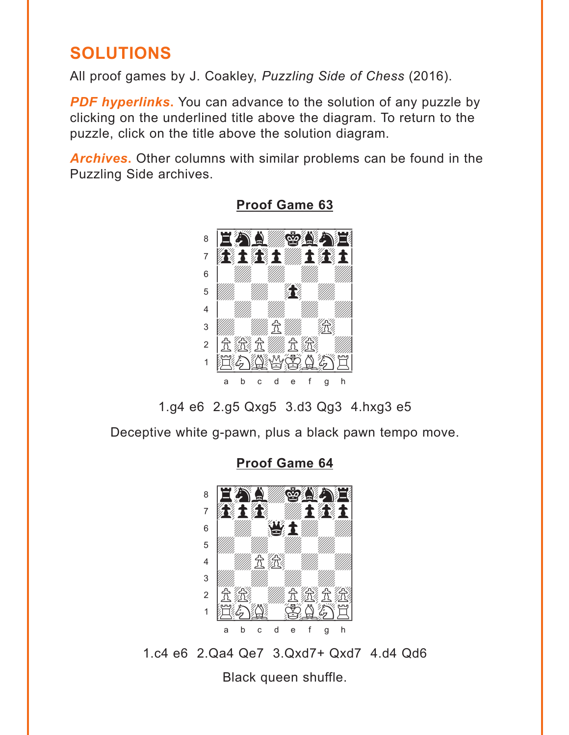## <span id="page-5-0"></span>**SOLUTIONS**

All proof games by J. Coakley, *Puzzling Side of Chess* (2016).

**PDF hyperlinks.** You can advance to the solution of any puzzle by clicking on the underlined title above the diagram. To return to the puzzle, click on the title above the solution diagram.

*Archives***.** Other columns with similar problems can be found in the Puzzling Side archives.



**[Proof Game 63](#page-0-0)**

1.g4 e6 2.g5 Qxg5 3.d3 Qg3 4.hxg3 e5

Deceptive white g-pawn, plus a black pawn tempo move.

**[Proof Game 64](#page-1-0)**



1.c4 e6 2.Qa4 Qe7 3.Qxd7+ Qxd7 4.d4 Qd6

Black queen shuffle.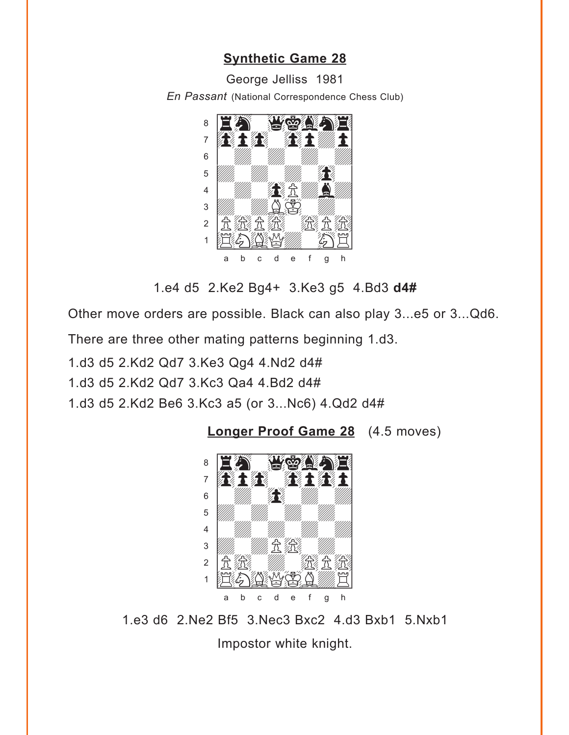#### **Synthetic Game 28**

George Jelliss 1981

<span id="page-6-0"></span>En Passant (National Correspondence Chess Club)



1.e4 d5 2.Ke2 Bg4+ 3.Ke3 g5 4.Bd3 d4#

Other move orders are possible. Black can also play 3...e5 or 3...Qd6.

There are three other mating patterns beginning 1.d3.

1.d3 d5 2.Kd2 Qd7 3.Ke3 Qg4 4.Nd2 d4#

1.d3 d5 2.Kd2 Qd7 3.Kc3 Qa4 4.Bd2 d4#

1.d3 d5 2.Kd2 Be6 3.Kc3 a5 (or 3...Nc6) 4.Qd2 d4#

Longer Proof Game 28 (4.5 moves)



1.e3 d6 2.Ne2 Bf5 3.Nec3 Bxc2 4.d3 Bxb1 5.Nxb1

Impostor white knight.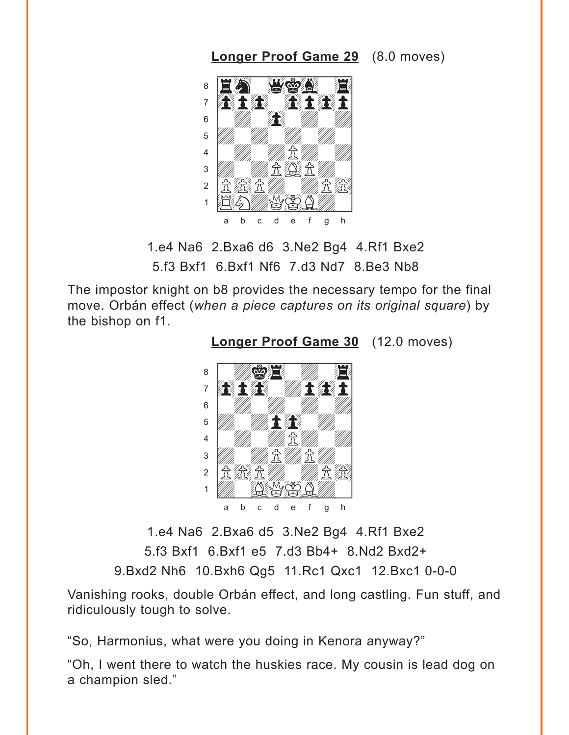<span id="page-7-0"></span>**[Longer Proof Game 29](#page-3-0)** (8.0 moves)



1.e4 Na6 2.Bxa6 d6 3.Ne2 Bg4 4.Rf1 Bxe2 5.f3 Bxf1 6.Bxf1 Nf6 7.d3 Nd7 8.Be3 Nb8

The impostor knight on b8 provides the necessary tempo for the final move. Orbán effect (*when a piece captures on its original square*) by the bishop on f1.

**[Longer Proof Game 30](#page-4-0)** (12.0 moves)



1.e4 Na6 2.Bxa6 d5 3.Ne2 Bg4 4.Rf1 Bxe2 5.f3 Bxf1 6.Bxf1 e5 7.d3 Bb4+ 8.Nd2 Bxd2+ 9.Bxd2 Nh6 10.Bxh6 Qg5 11.Rc1 Qxc1 12.Bxc1 0-0-0

Vanishing rooks, double Orbán effect, and long castling. Fun stuff, and ridiculously tough to solve.

"So, Harmonius, what were you doing in Kenora anyway?"

"Oh, I went there to watch the huskies race. My cousin is lead dog on a champion sled."